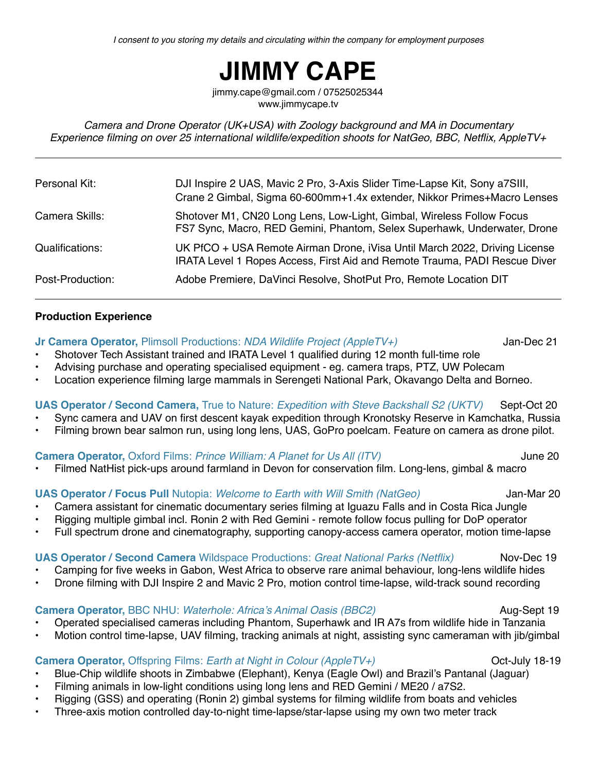# **JIMMY CAPE**

jimmy.cape@gmail.com / 07525025344 www.jimmycape.tv

*Camera and Drone Operator (UK+USA) with Zoology background and MA in Documentary Experience filming on over 25 international wildlife/expedition shoots for NatGeo, BBC, Netflix, AppleTV+*

| Personal Kit:    | DJI Inspire 2 UAS, Mavic 2 Pro, 3-Axis Slider Time-Lapse Kit, Sony a7SIII,<br>Crane 2 Gimbal, Sigma 60-600mm+1.4x extender, Nikkor Primes+Macro Lenses   |
|------------------|----------------------------------------------------------------------------------------------------------------------------------------------------------|
| Camera Skills:   | Shotover M1, CN20 Long Lens, Low-Light, Gimbal, Wireless Follow Focus<br>FS7 Sync, Macro, RED Gemini, Phantom, Selex Superhawk, Underwater, Drone        |
| Qualifications:  | UK PfCO + USA Remote Airman Drone, iVisa Until March 2022, Driving License<br>IRATA Level 1 Ropes Access, First Aid and Remote Trauma, PADI Rescue Diver |
| Post-Production: | Adobe Premiere, DaVinci Resolve, ShotPut Pro, Remote Location DIT                                                                                        |

### **Production Experience**

**Jr Camera Operator,** Plimsoll Productions: *NDA Wildlife Project (AppleTV+)* Jan-Dec 21

- Shotover Tech Assistant trained and IRATA Level 1 qualified during 12 month full-time role
- Advising purchase and operating specialised equipment eg. camera traps, PTZ, UW Polecam
- Location experience filming large mammals in Serengeti National Park, Okavango Delta and Borneo.

**UAS Operator / Second Camera, True to Nature:** *Expedition with Steve Backshall S2 (UKTV)* **Sept-Oct 20** 

- Sync camera and UAV on first descent kayak expedition through Kronotsky Reserve in Kamchatka, Russia
- Filming brown bear salmon run, using long lens, UAS, GoPro poelcam. Feature on camera as drone pilot.

**Camera Operator,** Oxford Films: *Prince William: A Planet for Us All (ITV)* June 20

• Filmed NatHist pick-ups around farmland in Devon for conservation film. Long-lens, gimbal & macro

**UAS Operator / Focus Pull Nutopia:** *Welcome to Earth with Will Smith (NatGeo)* **Jan-Mar 20** 

- Camera assistant for cinematic documentary series filming at Iguazu Falls and in Costa Rica Jungle
- Rigging multiple gimbal incl. Ronin 2 with Red Gemini remote follow focus pulling for DoP operator
- Full spectrum drone and cinematography, supporting canopy-access camera operator, motion time-lapse

## **UAS Operator / Second Camera** Wildspace Productions: *Great National Parks (Netflix)* Nov-Dec 19

- Camping for five weeks in Gabon, West Africa to observe rare animal behaviour, long-lens wildlife hides
- Drone filming with DJI Inspire 2 and Mavic 2 Pro, motion control time-lapse, wild-track sound recording

**Camera Operator,** BBC NHU: *Waterhole: Africa's Animal Oasis (BBC2)* Aug-Sept 19

- Operated specialised cameras including Phantom, Superhawk and IR A7s from wildlife hide in Tanzania
- Motion control time-lapse, UAV filming, tracking animals at night, assisting sync cameraman with jib/gimbal

**Camera Operator,** Offspring Films: *Earth at Night in Colour (AppleTV+)* **Colour Colour 18-19** 

- Blue-Chip wildlife shoots in Zimbabwe (Elephant), Kenya (Eagle Owl) and Brazil's Pantanal (Jaguar)
- Filming animals in low-light conditions using long lens and RED Gemini / ME20 / a7S2.
- Rigging (GSS) and operating (Ronin 2) gimbal systems for filming wildlife from boats and vehicles
- Three-axis motion controlled day-to-night time-lapse/star-lapse using my own two meter track